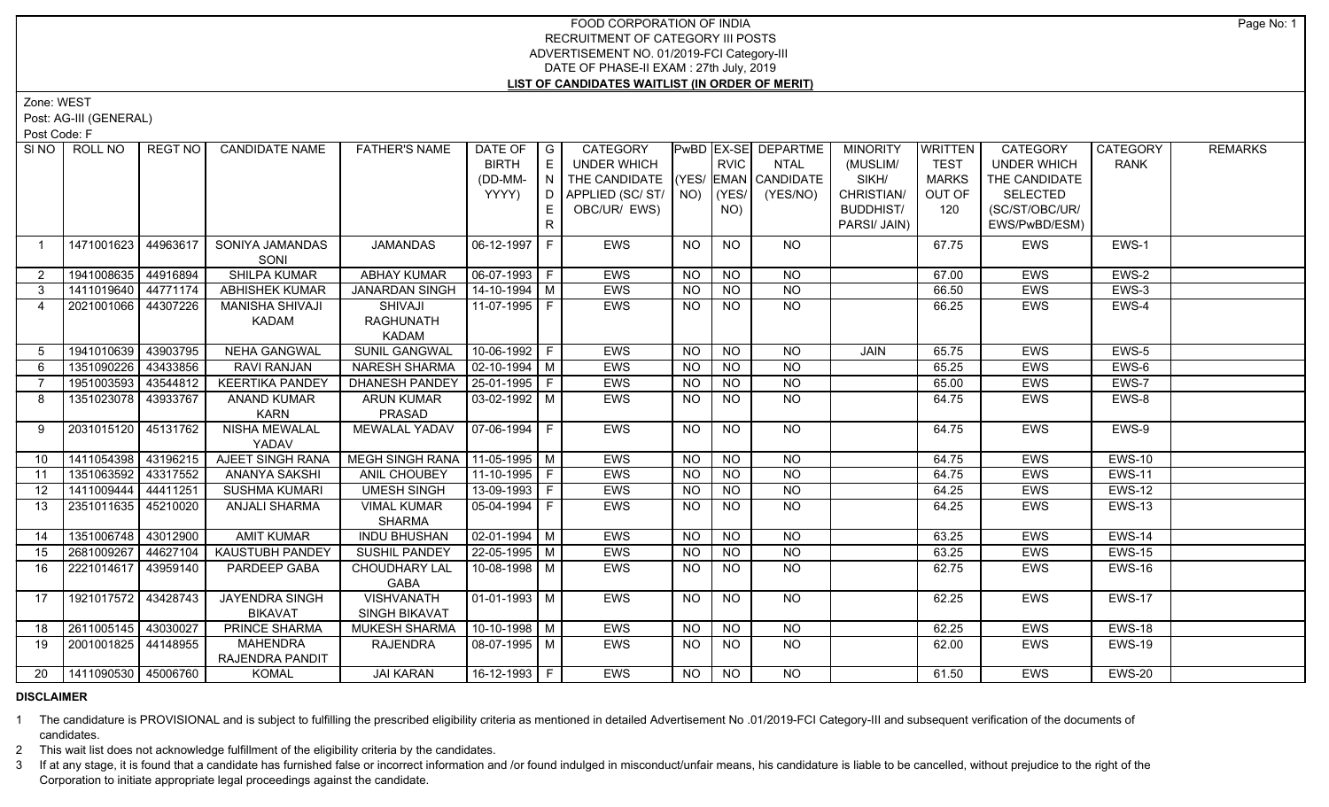## FOOD CORPORATION OF INDIA RECRUITMENT OF CATEGORY III POSTS ADVERTISEMENT NO. 01/2019-FCI Category-III DATE OF PHASE-II EXAM : 27th July, 2019 **LIST OF CANDIDATES WAITLIST (IN ORDER OF MERIT)**

Zone: WEST

Post: AG-III (GENERAL)

Post Code: F

|                | SINO   ROLL NO             | REGT NO  | <b>CANDIDATE NAME</b>  | <b>FATHER'S NAME</b>             | DATE OF               | G            | CATEGORY                           |           |                 | PwBD EX-SE DEPARTME | <b>MINORITY</b>  | <b>WRITTEN</b> | CATEGORY           | <b>CATEGORY</b> | <b>REMARKS</b> |
|----------------|----------------------------|----------|------------------------|----------------------------------|-----------------------|--------------|------------------------------------|-----------|-----------------|---------------------|------------------|----------------|--------------------|-----------------|----------------|
|                |                            |          |                        |                                  | <b>BIRTH</b>          | E            | UNDER WHICH                        |           | <b>RVIC</b>     | <b>NTAL</b>         | (MUSLIM/         | <b>TEST</b>    | <b>UNDER WHICH</b> | <b>RANK</b>     |                |
|                |                            |          |                        |                                  | (DD-MM-               | N I          | THE CANDIDATE (YES/ EMAN CANDIDATE |           |                 |                     | SIKH/            | <b>MARKS</b>   | THE CANDIDATE      |                 |                |
|                |                            |          |                        |                                  | YYYY)                 | D            | APPLIED (SC/ ST/   NO)             |           | (YES/           | (YES/NO)            | CHRISTIAN/       | OUT OF         | <b>SELECTED</b>    |                 |                |
|                |                            |          |                        |                                  |                       |              | OBC/UR/ EWS)                       |           | NO)             |                     | <b>BUDDHIST/</b> | 120            | (SC/ST/OBC/UR/     |                 |                |
|                |                            |          |                        |                                  |                       | $\mathsf{R}$ |                                    |           |                 |                     | PARSI/ JAIN)     |                | EWS/PwBD/ESM)      |                 |                |
| $\overline{1}$ | 1471001623                 | 44963617 | SONIYA JAMANDAS        | <b>JAMANDAS</b>                  | $06-12-1997$ F        |              | EWS                                | <b>NO</b> | <b>NO</b>       | <b>NO</b>           |                  | 67.75          | EWS                | EWS-1           |                |
|                |                            |          | SONI                   |                                  |                       |              |                                    |           |                 |                     |                  |                |                    |                 |                |
| $\overline{2}$ | 1941008635                 | 44916894 | SHILPA KUMAR           | <b>ABHAY KUMAR</b>               | 06-07-1993 F          |              | EWS                                | <b>NO</b> | <b>NO</b>       | <b>NO</b>           |                  | 67.00          | <b>EWS</b>         | EWS-2           |                |
| 3              | 1411019640                 | 44771174 | <b>ABHISHEK KUMAR</b>  | <b>JANARDAN SINGH</b>            | 14-10-1994 M          |              | EWS                                | <b>NO</b> | <b>NO</b>       | <b>NO</b>           |                  | 66.50          | <b>EWS</b>         | EWS-3           |                |
| 4              | 2021001066                 | 44307226 | <b>MANISHA SHIVAJI</b> | SHIVAJI                          | 11-07-1995 F          |              | EWS                                | <b>NO</b> | <b>NO</b>       | <b>NO</b>           |                  | 66.25          | <b>EWS</b>         | EWS-4           |                |
|                |                            |          | KADAM                  | <b>RAGHUNATH</b>                 |                       |              |                                    |           |                 |                     |                  |                |                    |                 |                |
|                |                            |          |                        | <b>KADAM</b>                     |                       |              |                                    |           |                 |                     |                  |                |                    |                 |                |
| 5              | 1941010639                 | 43903795 | <b>NEHA GANGWAL</b>    | <b>SUNIL GANGWAL</b>             | $10-06-1992$ F        |              | EWS                                | <b>NO</b> | NO              | <b>NO</b>           | JAIN             | 65.75          | EWS                | EWS-5           |                |
| 6              | 1351090226                 | 43433856 | RAVI RANJAN            | <b>NARESH SHARMA</b>             | $\sqrt{02-10-1994}$ M |              | EWS                                | <b>NO</b> | NO              | <b>NO</b>           |                  | 65.25          | EWS                | EWS-6           |                |
|                | 1951003593                 | 43544812 | <b>KEERTIKA PANDEY</b> | DHANESH PANDEY                   | $ 25-01-1995 F$       |              | EWS                                | <b>NO</b> | <b>NO</b>       | <b>NO</b>           |                  | 65.00          | <b>EWS</b>         | EWS-7           |                |
| 8              | 1351023078                 | 43933767 | <b>ANAND KUMAR</b>     | <b>ARUN KUMAR</b>                | $03-02-1992$ M        |              | <b>EWS</b>                         | <b>NO</b> | N <sub>O</sub>  | N <sub>O</sub>      |                  | 64.75          | EWS                | EWS-8           |                |
|                |                            |          | <b>KARN</b>            | PRASAD                           |                       |              |                                    |           |                 |                     |                  |                |                    |                 |                |
| 9              | 2031015120                 | 45131762 | <b>NISHA MEWALAL</b>   | <b>MEWALAL YADAV</b>             | $07-06-1994$ F        |              | <b>EWS</b>                         | <b>NO</b> | <b>NO</b>       | NO                  |                  | 64.75          | <b>EWS</b>         | EWS-9           |                |
|                |                            |          | YADAV                  |                                  |                       |              |                                    |           |                 |                     |                  |                |                    |                 |                |
| 10             | 1411054398                 | 43196215 | AJEET SINGH RANA       | MEGH SINGH RANA   11-05-1995   M |                       |              | <b>EWS</b>                         | <b>NO</b> | $\overline{NQ}$ | $N$ <sup>O</sup>    |                  | 64.75          | <b>EWS</b>         | <b>EWS-10</b>   |                |
| 11             | 1351063592                 | 43317552 | ANANYA SAKSHI          | ANIL CHOUBEY                     | $11-10-1995$ F        |              | EWS                                | <b>NO</b> | <b>NO</b>       | NO.                 |                  | 64.75          | EWS                | <b>EWS-11</b>   |                |
| 12             | 1411009444                 | 44411251 | <b>SUSHMA KUMARI</b>   | <b>UMESH SINGH</b>               | 13-09-1993 F          |              | EWS                                | <b>NO</b> | <b>NO</b>       | $\overline{NQ}$     |                  | 64.25          | <b>EWS</b>         | $EWS-12$        |                |
| 13             | 2351011635                 | 45210020 | ANJALI SHARMA          | <b>VIMAL KUMAR</b>               | 05-04-1994 F          |              | EWS                                | <b>NO</b> | <b>NO</b>       | <b>NO</b>           |                  | 64.25          | <b>EWS</b>         | <b>EWS-13</b>   |                |
|                |                            |          |                        | <b>SHARMA</b>                    |                       |              |                                    |           |                 |                     |                  |                |                    |                 |                |
| 14             | 1351006748                 | 43012900 | <b>AMIT KUMAR</b>      | <b>INDU BHUSHAN</b>              | $02-01-1994$ M        |              | EWS                                | NO.       | <b>NO</b>       | <b>NO</b>           |                  | 63.25          | <b>EWS</b>         | <b>EWS-14</b>   |                |
| 15             | 2681009267                 | 44627104 | <b>KAUSTUBH PANDEY</b> | <b>SUSHIL PANDEY</b>             | 22-05-1995 M          |              | EWS                                | <b>NO</b> | <b>NO</b>       | <b>NO</b>           |                  | 63.25          | EWS                | <b>EWS-15</b>   |                |
| 16             | 2221014617                 | 43959140 | PARDEEP GABA           | <b>CHOUDHARY LAL</b>             | 10-08-1998 M          |              | EWS                                | <b>NO</b> | NO.             | NO.                 |                  | 62.75          | <b>EWS</b>         | <b>EWS-16</b>   |                |
|                |                            |          |                        | GABA                             |                       |              |                                    |           |                 |                     |                  |                |                    |                 |                |
| 17             | 1921017572                 | 43428743 | <b>JAYENDRA SINGH</b>  | <b>VISHVANATH</b>                | 01-01-1993   M        |              | EWS                                | <b>NO</b> | <b>NO</b>       | <b>NO</b>           |                  | 62.25          | <b>EWS</b>         | <b>EWS-17</b>   |                |
|                |                            |          | <b>BIKAVAT</b>         | <b>SINGH BIKAVAT</b>             |                       |              |                                    |           |                 |                     |                  |                |                    |                 |                |
| 18             | 2611005145   43030027      |          | <b>PRINCE SHARMA</b>   | <b>MUKESH SHARMA</b>             | 10-10-1998 M          |              | EWS                                | <b>NO</b> | <b>NO</b>       | <b>NO</b>           |                  | 62.25          | <b>EWS</b>         | <b>EWS-18</b>   |                |
| 19             | 2001001825 44148955        |          | <b>MAHENDRA</b>        | <b>RAJENDRA</b>                  | 08-07-1995 M          |              | EWS                                | <b>NO</b> | <b>NO</b>       | NO                  |                  | 62.00          | <b>EWS</b>         | <b>EWS-19</b>   |                |
|                |                            |          | RAJENDRA PANDIT        |                                  |                       |              |                                    |           |                 |                     |                  |                |                    |                 |                |
|                | 20   1411090530   45006760 |          | <b>KOMAL</b>           | <b>JAI KARAN</b>                 | 16-12-1993   F        |              | <b>EWS</b>                         | NO        | <b>NO</b>       | NO.                 |                  | 61.50          | <b>EWS</b>         | <b>EWS-20</b>   |                |

## **DISCLAIMER**

1 The candidature is PROVISIONAL and is subject to fulfilling the prescribed eligibility criteria as mentioned in detailed Advertisement No .01/2019-FCI Category-III and subsequent verification of the documents of candidates.

2 This wait list does not acknowledge fulfillment of the eligibility criteria by the candidates.

3 If at any stage, it is found that a candidate has furnished false or incorrect information and /or found indulged in misconduct/unfair means, his candidature is liable to be cancelled, without prejudice to the right of t Corporation to initiate appropriate legal proceedings against the candidate.

Page No: 1